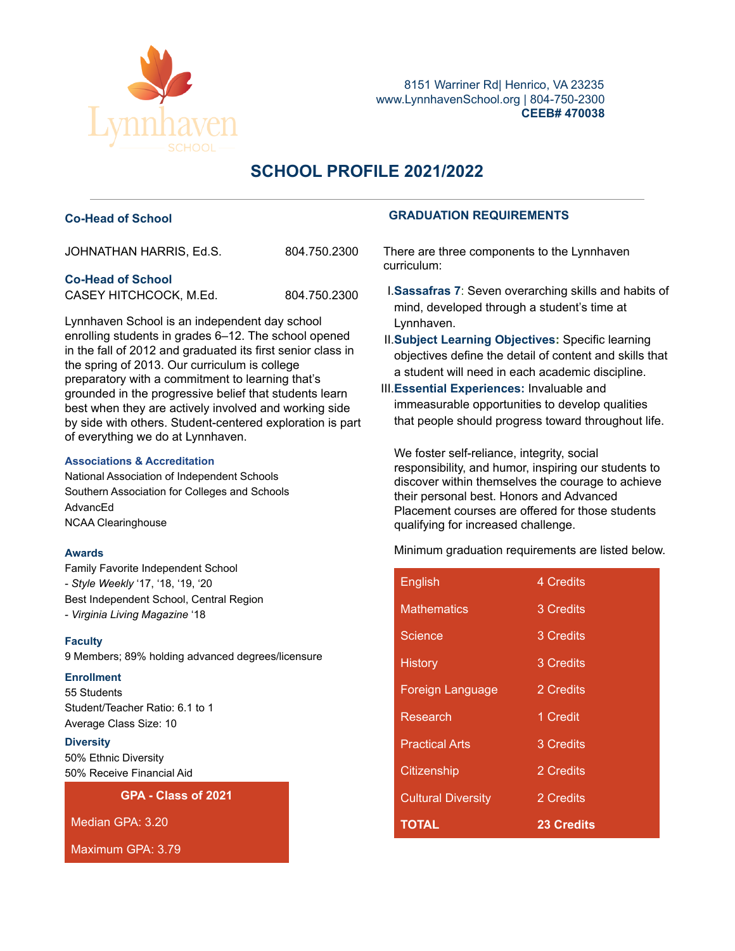

8151 Warriner Rd| Henrico, VA 23235 www.LynnhavenSchool.org | 804-750-2300 **CEEB# 470038**

# **SCHOOL PROFILE 2021/2022**

| JOHNATHAN HARRIS, Ed.S. | 804.750.2300 |
|-------------------------|--------------|
|                         |              |

### **Co-Head of School**

CASEY HITCHCOCK, M.Ed. 804.750.2300

Lynnhaven School is an independent day school enrolling students in grades 6–12. The school opened in the fall of 2012 and graduated its first senior class in the spring of 2013. Our curriculum is college preparatory with a commitment to learning that's grounded in the progressive belief that students learn best when they are actively involved and working side by side with others. Student-centered exploration is part of everything we do at Lynnhaven.

#### **Associations & Accreditation**

National Association of Independent Schools Southern Association for Colleges and Schools AdvancEd NCAA Clearinghouse

#### **Awards**

Family Favorite Independent School - *Style Weekly* '17, '18, '19, '20 Best Independent School, Central Region - *Virginia Living Magazine* '18

#### **Faculty**

9 Members; 89% holding advanced degrees/licensure

#### **Enrollment**

55 Students Student/Teacher Ratio: 6.1 to 1 Average Class Size: 10

#### **Diversity**

50% Ethnic Diversity 50% Receive Financial Aid

**GPA - Class of 2021**

Median GPA: 3.20

Maximum GPA: 3.79

# **Co-Head of School GRADUATION REQUIREMENTS**

There are three components to the Lynnhaven curriculum:

- I.**Sassafras 7**: Seven overarching skills and habits of mind, developed through a student's time at Lynnhaven.
- II.**Subject Learning Objectives:** Specific learning objectives define the detail of content and skills that a student will need in each academic discipline.
- III.**Essential Experiences:** Invaluable and immeasurable opportunities to develop qualities that people should progress toward throughout life.

We foster self-reliance, integrity, social responsibility, and humor, inspiring our students to discover within themselves the courage to achieve their personal best. Honors and Advanced Placement courses are offered for those students qualifying for increased challenge.

Minimum graduation requirements are listed below.

| English                   | 4 Credits         |
|---------------------------|-------------------|
| <b>Mathematics</b>        | 3 Credits         |
| Science                   | 3 Credits         |
| <b>History</b>            | 3 Credits         |
| <b>Foreign Language</b>   | 2 Credits         |
| Research                  | 1 Credit          |
| <b>Practical Arts</b>     | 3 Credits         |
| Citizenship               | 2 Credits         |
| <b>Cultural Diversity</b> | 2 Credits         |
| <b>TOTAL</b>              | <b>23 Credits</b> |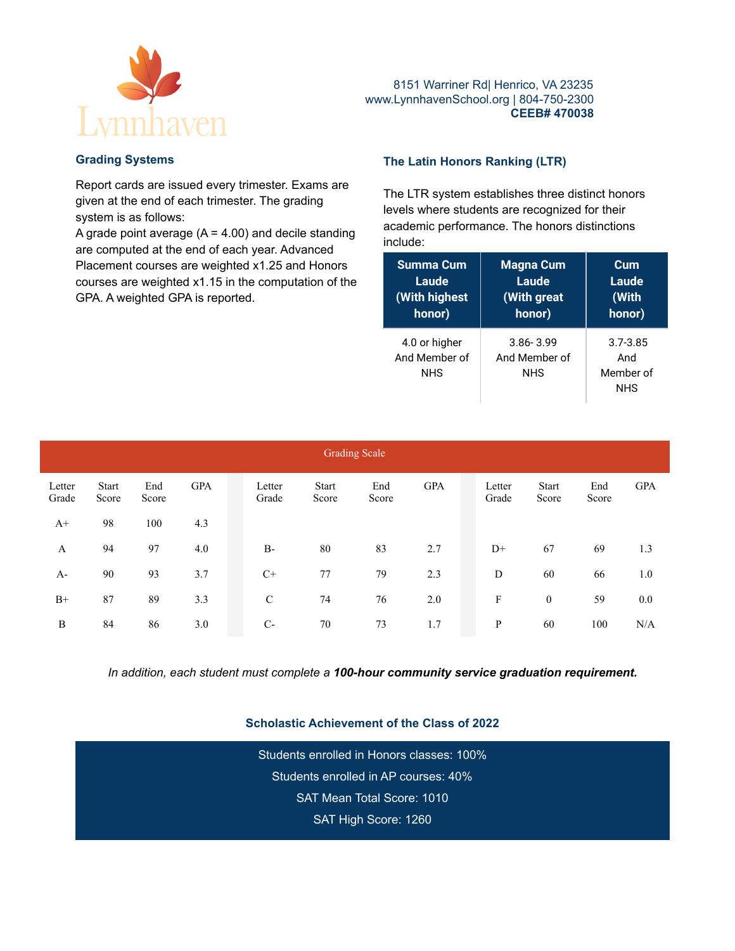

# **Grading Systems**

Report cards are issued every trimester. Exams are given at the end of each trimester. The grading system is as follows:

A grade point average  $(A = 4.00)$  and decile standing are computed at the end of each year. Advanced Placement courses are weighted x1.25 and Honors courses are weighted x1.15 in the computation of the GPA. A weighted GPA is reported.

# **The Latin Honors Ranking (LTR)**

The LTR system establishes three distinct honors levels where students are recognized for their academic performance. The honors distinctions include:

| <b>Summa Cum</b>                             | <b>Magna Cum</b>                             | Cum                                            |  |  |  |
|----------------------------------------------|----------------------------------------------|------------------------------------------------|--|--|--|
| Laude                                        | Laude                                        | Laude                                          |  |  |  |
| <b>With highest</b>                          | (With great                                  | (With                                          |  |  |  |
| honor)                                       | honor)                                       | honor)                                         |  |  |  |
| 4.0 or higher<br>And Member of<br><b>NHS</b> | $3.86 - 3.99$<br>And Member of<br><b>NHS</b> | $3.7 - 3.85$<br>And<br>Member of<br><b>NHS</b> |  |  |  |

| <b>Grading Scale</b> |                       |              |            |  |                 |                       |              |            |  |                 |                       |              |            |
|----------------------|-----------------------|--------------|------------|--|-----------------|-----------------------|--------------|------------|--|-----------------|-----------------------|--------------|------------|
| Letter<br>Grade      | <b>Start</b><br>Score | End<br>Score | <b>GPA</b> |  | Letter<br>Grade | <b>Start</b><br>Score | End<br>Score | <b>GPA</b> |  | Letter<br>Grade | <b>Start</b><br>Score | End<br>Score | <b>GPA</b> |
| $A+$                 | 98                    | 100          | 4.3        |  |                 |                       |              |            |  |                 |                       |              |            |
| A                    | 94                    | 97           | 4.0        |  | $B-$            | 80                    | 83           | 2.7        |  | $D+$            | 67                    | 69           | 1.3        |
| $A-$                 | 90                    | 93           | 3.7        |  | $C+$            | 77                    | 79           | 2.3        |  | D               | 60                    | 66           | 1.0        |
| $B+$                 | 87                    | 89           | 3.3        |  | $\mathsf{C}$    | 74                    | 76           | 2.0        |  | F               | $\bf{0}$              | 59           | 0.0        |
| B                    | 84                    | 86           | 3.0        |  | $C-$            | 70                    | 73           | 1.7        |  | P               | 60                    | 100          | N/A        |

*In addition, each student must complete a 100-hour community service graduation requirement.*

# **Scholastic Achievement of the Class of 2022**

Students enrolled in Honors classes: 100% Students enrolled in AP courses: 40% SAT Mean Total Score: 1010 SAT High Score: 1260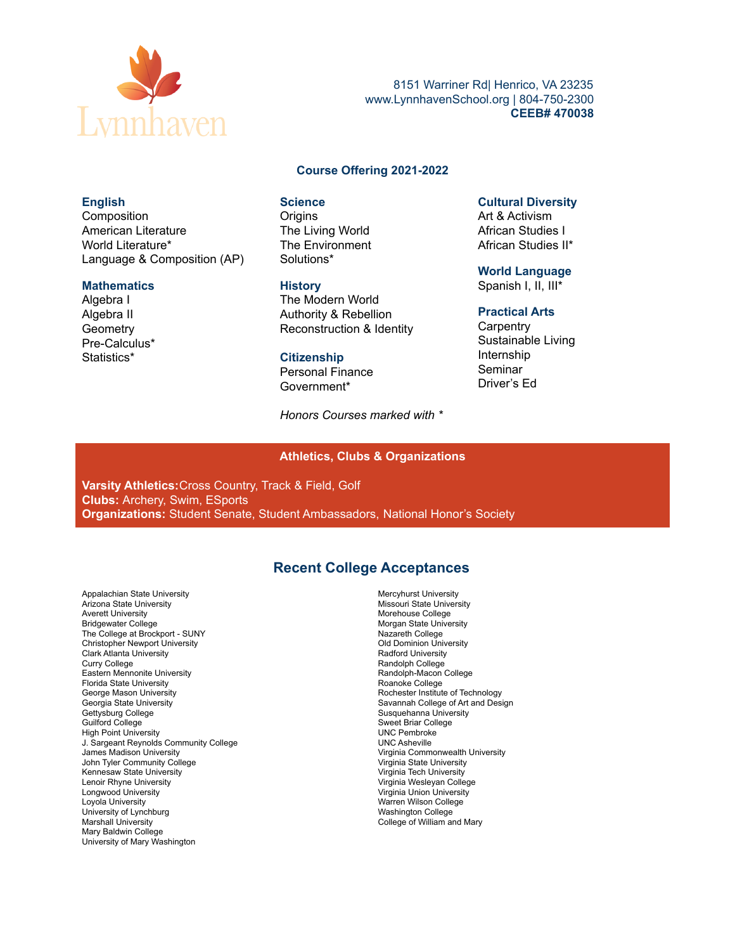

8151 Warriner Rd| Henrico, VA 23235 www.LynnhavenSchool.org | 804-750-2300 **CEEB# 470038**

#### **Course Offering 2021-2022**

#### **English**

Composition American Literature World Literature\* Language & Composition (AP)

#### **Mathematics**

Algebra I Algebra II **Geometry** Pre-Calculus\* Statistics\*

# **Science**

**Origins** The Living World The Environment Solutions\*

#### **History**

The Modern World Authority & Rebellion Reconstruction & Identity

#### **Citizenship**

Personal Finance Government\*

*Honors Courses marked with \**

#### **Cultural Diversity**

Art & Activism African Studies I African Studies II\*

**World Language** Spanish I, II, III\*

#### **Practical Arts**

**Carpentry** Sustainable Living Internship Seminar Driver's Ed

#### **Athletics, Clubs & Organizations**

**Varsity Athletics:**Cross Country, Track & Field, Golf **Clubs:** Archery, Swim, ESports **Organizations:** Student Senate, Student Ambassadors, National Honor's Society

# **Recent College Acceptances**

Appalachian State University Arizona State University Averett University Bridgewater College The College at Brockport - SUNY Christopher Newport University Clark Atlanta University Curry College Eastern Mennonite University Florida State University George Mason University Georgia State University Gettysburg College Guilford College High Point University J. Sargeant Reynolds Community College James Madison University John Tyler Community College Kennesaw State University Lenoir Rhyne University Longwood University Loyola University University of Lynchburg Marshall University Mary Baldwin College University of Mary Washington

Mercyhurst University Missouri State University Morehouse College Morgan State University Nazareth College Old Dominion University Radford University Randolph College Randolph-Macon College Roanoke College Rochester Institute of Technology Savannah College of Art and Design Susquehanna University Sweet Briar College UNC Pembroke UNC Asheville Virginia Commonwealth University Virginia State University Virginia Tech University Virginia Wesleyan College Virginia Union University Warren Wilson College Washington College College of William and Mary